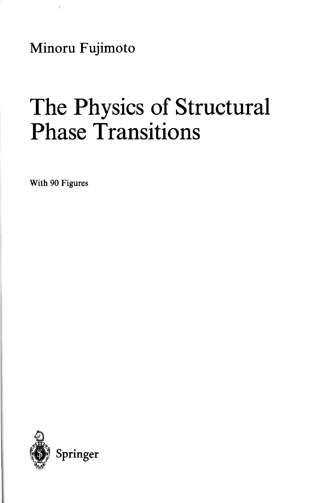Minoru Fujimoto

## The Physics of Structural Phase Transitions

With 90 Figures

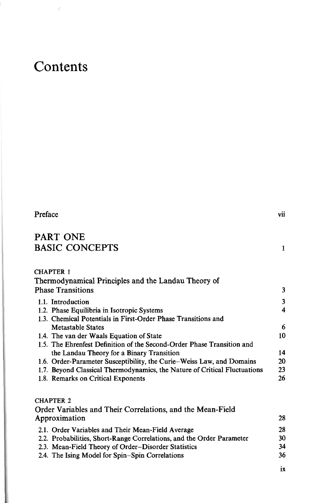## Contents

 $\tilde{\mathcal{E}}$ 

| Preface                                                                   | vii |
|---------------------------------------------------------------------------|-----|
| PART ONE                                                                  |     |
| <b>BASIC CONCEPTS</b>                                                     | 1   |
| <b>CHAPTER 1</b>                                                          |     |
| Thermodynamical Principles and the Landau Theory of                       |     |
| <b>Phase Transitions</b>                                                  | 3   |
| 1.1. Introduction                                                         | 3   |
| 1.2. Phase Equilibria in Isotropic Systems                                | 4   |
| 1.3. Chemical Potentials in First-Order Phase Transitions and             |     |
| <b>Metastable States</b>                                                  | 6   |
| 1.4. The van der Waals Equation of State                                  | 10  |
| 1.5. The Ehrenfest Definition of the Second-Order Phase Transition and    |     |
| the Landau Theory for a Binary Transition                                 | 14  |
| 1.6. Order-Parameter Susceptibility, the Curie–Weiss Law, and Domains     | 20  |
| 1.7. Beyond Classical Thermodynamics, the Nature of Critical Fluctuations | 23  |
| 1.8. Remarks on Critical Exponents                                        | 26  |
| <b>CHAPTER 2</b>                                                          |     |
| Order Variables and Their Correlations, and the Mean-Field                |     |

| Approximation                                                         | 28  |
|-----------------------------------------------------------------------|-----|
| 2.1. Order Variables and Their Mean-Field Average                     | 28  |
| 2.2. Probabilities, Short-Range Correlations, and the Order Parameter | 30. |
| 2.3. Mean-Field Theory of Order-Disorder Statistics                   | 34  |
| 2.4. The Ising Model for Spin–Spin Correlations                       | 36  |

 $i\mathbf{x}$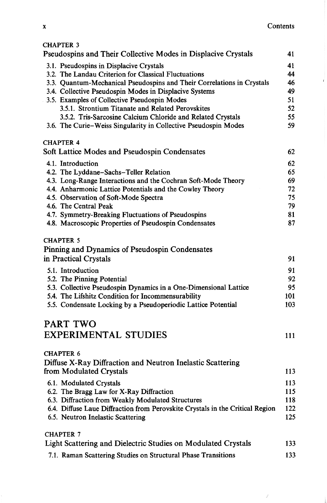$\vec{J}$ 

 $\bar{t}$ 

| Pseudospins and Their Collective Modes in Displacive Crystals                                   | 41       |
|-------------------------------------------------------------------------------------------------|----------|
| 3.1. Pseudospins in Displacive Crystals<br>3.2. The Landau Criterion for Classical Fluctuations | 41<br>44 |
| 3.3. Quantum-Mechanical Pseudospins and Their Correlations in Crystals                          | 46       |
| 3.4. Collective Pseudospin Modes in Displacive Systems                                          | 49       |
| 3.5. Examples of Collective Pseudospin Modes                                                    | 51       |
| 3.5.1. Strontium Titanate and Related Perovskites                                               | 52       |
| 3.5.2. Tris-Sarcosine Calcium Chloride and Related Crystals                                     | 55       |
| 3.6. The Curie-Weiss Singularity in Collective Pseudospin Modes                                 | 59       |
| <b>CHAPTER 4</b>                                                                                |          |
| Soft Lattice Modes and Pseudospin Condensates                                                   | 62       |
| 4.1. Introduction                                                                               | 62       |
| 4.2. The Lyddane-Sachs-Teller Relation                                                          | 65       |
| 4.3. Long-Range Interactions and the Cochran Soft-Mode Theory                                   | 69       |
| 4.4. Anharmonic Lattice Potentials and the Cowley Theory                                        | 72       |
| 4.5. Observation of Soft-Mode Spectra                                                           | 75       |
| 4.6. The Central Peak                                                                           | 79       |
| 4.7. Symmetry-Breaking Fluctuations of Pseudospins                                              | 81       |
| 4.8. Macroscopic Properties of Pseudospin Condensates                                           | 87       |
| <b>CHAPTER 5</b>                                                                                |          |
| Pinning and Dynamics of Pseudospin Condensates                                                  |          |
| in Practical Crystals                                                                           | 91       |
| 5.1. Introduction                                                                               | 91       |
| 5.2. The Pinning Potential                                                                      | 92       |
| 5.3. Collective Pseudospin Dynamics in a One-Dimensional Lattice                                | 95       |
| 5.4. The Lifshitz Condition for Incommensurability                                              | 101      |
| 5.5. Condensate Locking by a Pseudoperiodic Lattice Potential                                   | 103      |
| <b>PART TWO</b>                                                                                 |          |
| <b>EXPERIMENTAL STUDIES</b>                                                                     | 111      |
|                                                                                                 |          |
| <b>CHAPTER 6</b>                                                                                |          |
| Diffuse X-Ray Diffraction and Neutron Inelastic Scattering<br>from Modulated Crystals           | 113      |
| 6.1. Modulated Crystals                                                                         | 113      |
| 6.2. The Bragg Law for X-Ray Diffraction                                                        | 115      |
| 6.3. Diffraction from Weakly Modulated Structures                                               | 118      |
| 6.4. Diffuse Laue Diffraction from Perovskite Crystals in the Critical Region                   | 122      |
| 6.5. Neutron Inelastic Scattering                                                               | 125      |
| <b>CHAPTER 7</b>                                                                                |          |
| Light Scattering and Dielectric Studies on Modulated Crystals                                   | 133      |
| 7.1. Raman Scattering Studies on Structural Phase Transitions                                   | 133      |